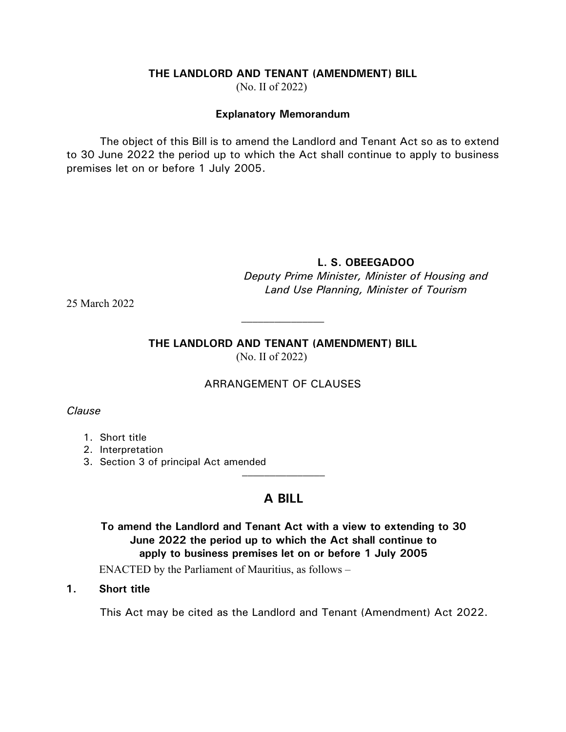#### **THE LANDLORD AND TENANT (AMENDMENT) BILL**

(No. II of 2022)

#### **Explanatory Memorandum**

The object of this Bill is to amend the Landlord and Tenant Act so as to extend to 30 June 2022 the period up to which the Act shall continue to apply to business premises let on or before 1 July 2005.

### **L. S. OBEEGADOO**

*Deputy Prime Minister, Minister of Housing and Land Use Planning, Minister of Tourism*

25 March 2022

#### **THE LANDLORD AND TENANT (AMENDMENT) BILL** (No. II of 2022)

 $\mathcal{L}_\text{max}$ 

### ARRANGEMENT OF CLAUSES

*Clause*

- 1. Short title
- 2. Interpretation
- 3. Section 3 of principal Act amended  $\overline{\phantom{a}}$

## **A BILL**

# **To amend the Landlord and Tenant Act with a view to extending to 30 June 2022 the period up to which the Act shall continue to apply to business premises let on or before 1 July 2005**

ENACTED by the Parliament of Mauritius, as follows –

### **1. Short title**

This Act may be cited as the Landlord and Tenant (Amendment) Act 2022.